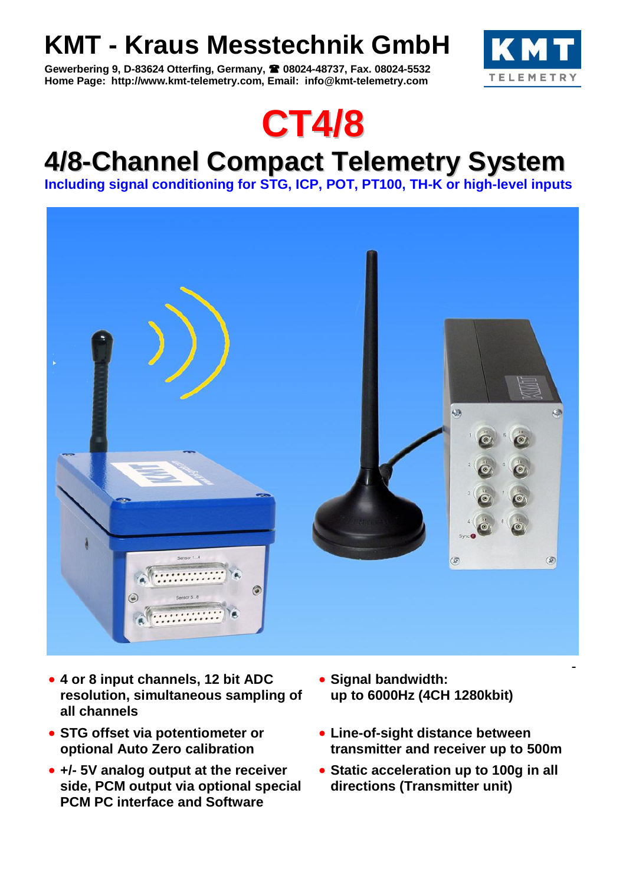# **KMT - Kraus Messtechnik GmbH**

**Gewerbering 9, D-83624 Otterfing, Germany, 08024-48737, Fax. 08024-5532 Home Page: http://www.kmt-telemetry.com, Email: info@kmt-telemetry.com**





# **4/8-Channel Compact Telemetry System**

**Including signal conditioning for STG, ICP, POT, PT100, TH-K or high-level inputs**



- **4 or 8 input channels, 12 bit ADC resolution, simultaneous sampling of all channels**
- **STG offset via potentiometer or optional Auto Zero calibration**
- **+/- 5V analog output at the receiver side, PCM output via optional special PCM PC interface and Software**
- **Signal bandwidth: up to 6000Hz (4CH 1280kbit)**
- **Line-of-sight distance between transmitter and receiver up to 500m**
- **Static acceleration up to 100g in all directions (Transmitter unit)**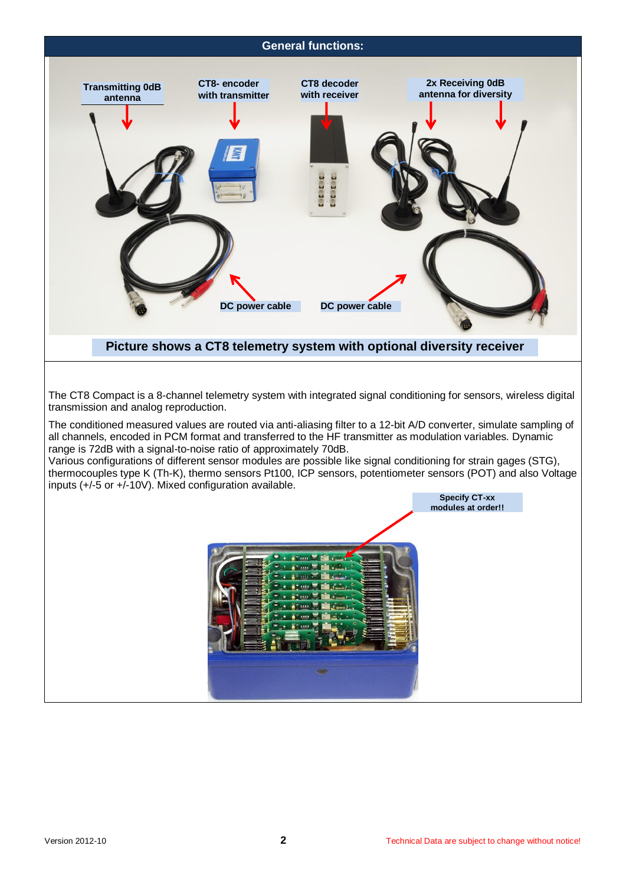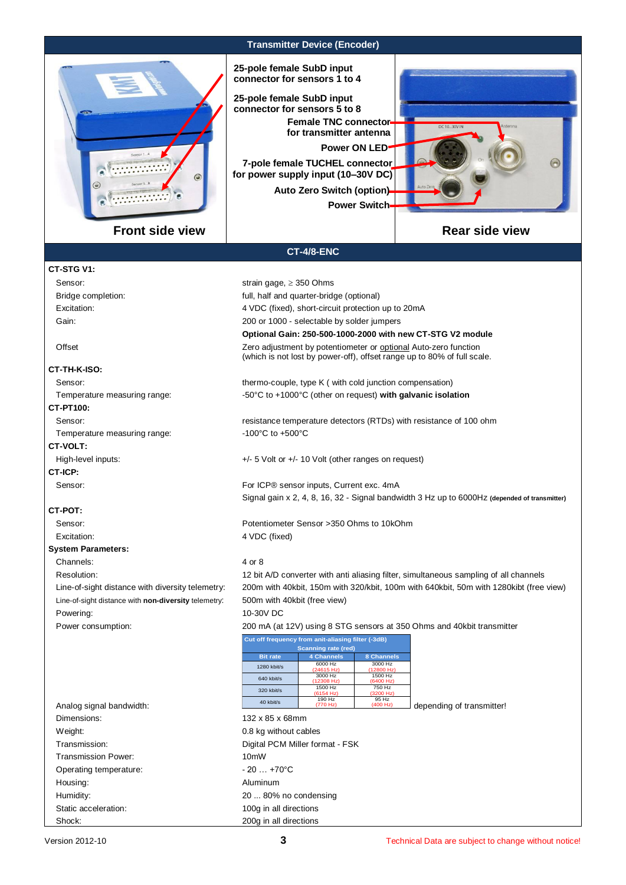

**Transmitter Device (Encoder)**

**25-pole female SubD input connector for sensors 1 to 4**

**7-pole female TUCHEL connector for power supply input (10–30V DC) 25-pole female SubD input connector for sensors 5 to 8 Power ON LED Female TNC connector for transmitter antenna Auto Zero Switch (option)**

**Power Switch**

**Optional Gain: 250-500-1000-2000 with new CT-STG V2 module**

(which is not lost by power-off), offset range up to 80% of full scale.



## **Rear side view**

### **CT-4/8-ENC**

Sensor: strain gage, ≥ 350 Ohms Bridge completion: full, half and quarter-bridge (optional) Excitation: 4 VDC (fixed), short-circuit protection up to 20mA Gain: Gain: 300 or 1000 - selectable by solder jumpers

Offset Zero adjustment by potentiometer or optional Auto-zero function

#### **CT-TH-K-ISO:**

Sensor: thermo-couple, type K ( with cold junction compensation)

Temperature measuring range:  $-50^{\circ}$ C to +1000°C (other on request) **with galvanic isolation** 

## **CT-PT100:**

Sensor: resistance temperature detectors (RTDs) with resistance of 100 ohm Temperature measuring range:  $-100^{\circ}$ C to +500°C

#### **CT-VOLT:**

High-level inputs:  $+/-5$  Volt or  $+/-10$  Volt (other ranges on request)

**CT-ICP:** Sensor: Sensor: Sensor inputs, Current exc. 4mA

#### **CT-POT:**

Sensor: Potentiometer Sensor >350 Ohms to 10kOhm

### **System Parameters:**

Channels: 4 or 8

Line-of-sight distance with **non-diversity** telemetry: 500m with 40kbit (free view)

Powering: 10-30V DC

Excitation: 4 VDC (fixed) Resolution: 12 bit A/D converter with anti aliasing filter, simultaneous sampling of all channels Line-of-sight distance with diversity telemetry: 200m with 40kbit, 150m with 320/kbit, 100m with 640kbit, 50m with 1280kibt (free view)

Signal gain x 2, 4, 8, 16, 32 - Signal bandwidth 3 Hz up to 6000Hz **(depended of transmitter)**

Power consumption: 200 mA (at 12V) using 8 STG sensors at 350 Ohms and 40kbit transmitter

| Cut off frequency from anit-aliasing filter (-3dB)<br><b>Scanning rate (red)</b> |                       |                       |  |  |  |
|----------------------------------------------------------------------------------|-----------------------|-----------------------|--|--|--|
| <b>Bit rate</b>                                                                  | <b>4 Channels</b>     | <b>8 Channels</b>     |  |  |  |
| 1280 kbit/s                                                                      | 6000 Hz<br>(24615 Hz) | 3000 Hz<br>(12800 Hz) |  |  |  |
| 640 kbit/s                                                                       | 3000 Hz<br>(12308 Hz) | 1500 Hz<br>(6400 Hz)  |  |  |  |
| 320 kbit/s                                                                       | 1500 Hz<br>(6154 Hz)  | 750 Hz<br>(3200 Hz)   |  |  |  |
| 40 kbit/s                                                                        | 190 Hz<br>(770 Hz)    | 95 Hz<br>(400 Hz)     |  |  |  |

 $\Box$  depending of transmitter!

Analog signal bandwidth: Dimensions: 132 x 85 x 68mm Weight:  $0.8$  kg without cables Transmission: Digital PCM Miller format - FSK Transmission Power: 10mW Operating temperature:  $-20...+70^{\circ}C$ Housing: Note and the Mathematic Aluminum Aluminum

Humidity: 20 ... 80% no condensing Static acceleration: 100g in all directions Shock: 200g in all directions